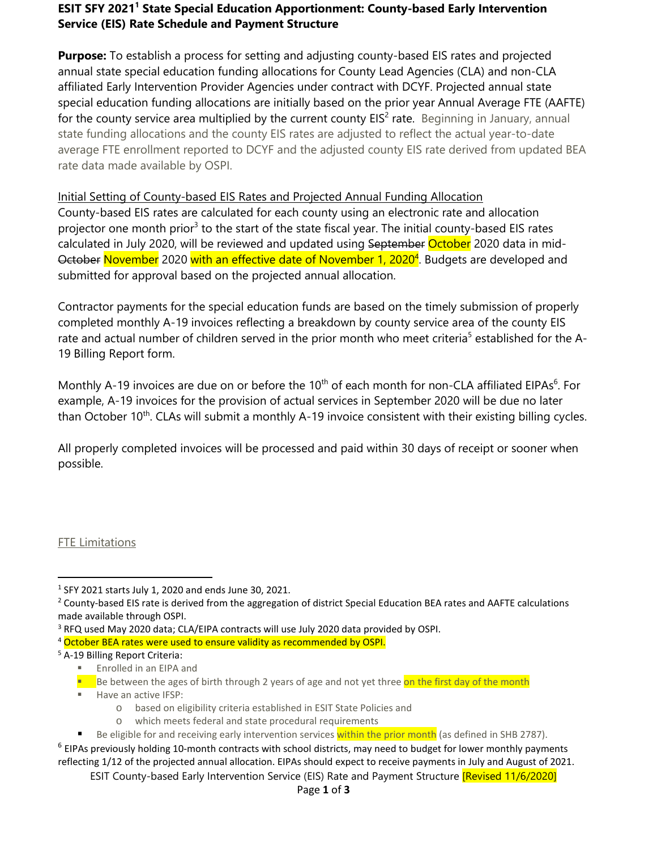### **ESIT SFY 20211 State Special Education Apportionment: County-based Early Intervention Service (EIS) Rate Schedule and Payment Structure**

**Purpose:** To establish a process for setting and adjusting county-based EIS rates and projected annual state special education funding allocations for County Lead Agencies (CLA) and non-CLA affiliated Early Intervention Provider Agencies under contract with DCYF. Projected annual state special education funding allocations are initially based on the prior year Annual Average FTE (AAFTE) for the county service area multiplied by the current county  $EIS<sup>2</sup>$  rate. Beginning in January, annual state funding allocations and the county EIS rates are adjusted to reflect the actual year-to-date average FTE enrollment reported to DCYF and the adjusted county EIS rate derived from updated BEA rate data made available by OSPI.

# Initial Setting of County-based EIS Rates and Projected Annual Funding Allocation

County-based EIS rates are calculated for each county using an electronic rate and allocation projector one month prior<sup>3</sup> to the start of the state fiscal year. The initial county-based EIS rates calculated in July 2020, will be reviewed and updated using September October 2020 data in mid-<del>October</del> <mark>November</mark> 2020 <mark>with an effective date of November 1, 2020<sup>4</sup>. Budgets are developed and</mark> submitted for approval based on the projected annual allocation.

Contractor payments for the special education funds are based on the timely submission of properly completed monthly A-19 invoices reflecting a breakdown by county service area of the county EIS rate and actual number of children served in the prior month who meet criteria<sup>5</sup> established for the A-19 Billing Report form.

Monthly A-19 invoices are due on or before the 10<sup>th</sup> of each month for non-CLA affiliated EIPAs<sup>6</sup>. For example, A-19 invoices for the provision of actual services in September 2020 will be due no later than October 10<sup>th</sup>. CLAs will submit a monthly A-19 invoice consistent with their existing billing cycles.

All properly completed invoices will be processed and paid within 30 days of receipt or sooner when possible.

#### FTE Limitations

- Be between the ages of birth through 2 years of age and not yet three on the first day of the month
- Have an active IFSP:
	- o based on eligibility criteria established in ESIT State Policies and
	-

 <sup>1</sup> SFY 2021 starts July 1, 2020 and ends June 30, 2021.

<sup>&</sup>lt;sup>2</sup> County-based EIS rate is derived from the aggregation of district Special Education BEA rates and AAFTE calculations made available through OSPI.<br><sup>3</sup> RFQ used May 2020 data; CLA/EIPA contracts will use July 2020 data provided by OSPI.

<sup>&</sup>lt;sup>4</sup> October BEA rates were used to ensure validity as recommended by OSPI.<br><sup>5</sup> A-19 Billing Report Criteria:

**Enrolled in an EIPA and** 

o which meets federal and state procedural requirements<br>Be eligible for and receiving early intervention services within the prior month (as defined in SHB 2787).

 $6$  EIPAs previously holding 10-month contracts with school districts, may need to budget for lower monthly payments reflecting 1/12 of the projected annual allocation. EIPAs should expect to receive payments in July and August of 2021.

ESIT County-based Early Intervention Service (EIS) Rate and Payment Structure [Revised 11/6/2020]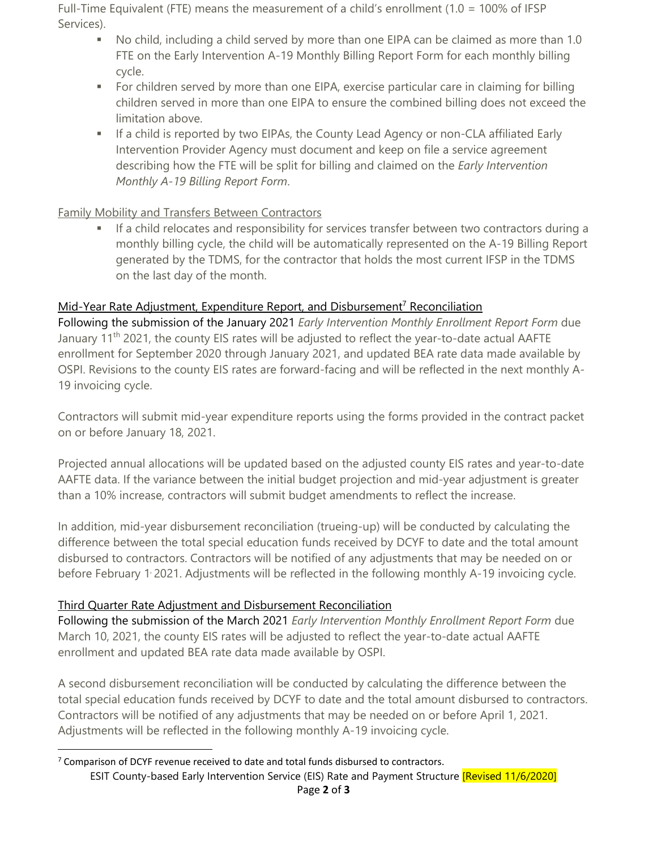Full-Time Equivalent (FTE) means the measurement of a child's enrollment (1.0 = 100% of IFSP Services).

- No child, including a child served by more than one EIPA can be claimed as more than 1.0 FTE on the Early Intervention A-19 Monthly Billing Report Form for each monthly billing cycle.
- For children served by more than one EIPA, exercise particular care in claiming for billing children served in more than one EIPA to ensure the combined billing does not exceed the limitation above.
- **If a child is reported by two EIPAs, the County Lead Agency or non-CLA affiliated Early** Intervention Provider Agency must document and keep on file a service agreement describing how the FTE will be split for billing and claimed on the *Early Intervention Monthly A-19 Billing Report Form*.

## Family Mobility and Transfers Between Contractors

 If a child relocates and responsibility for services transfer between two contractors during a monthly billing cycle, the child will be automatically represented on the A-19 Billing Report generated by the TDMS, for the contractor that holds the most current IFSP in the TDMS on the last day of the month.

# Mid-Year Rate Adjustment, Expenditure Report, and Disbursement<sup>7</sup> Reconciliation

Following the submission of the January 2021 *Early Intervention Monthly Enrollment Report Form* due January 11<sup>th</sup> 2021, the county EIS rates will be adjusted to reflect the year-to-date actual AAFTE enrollment for September 2020 through January 2021, and updated BEA rate data made available by OSPI. Revisions to the county EIS rates are forward-facing and will be reflected in the next monthly A-19 invoicing cycle.

Contractors will submit mid-year expenditure reports using the forms provided in the contract packet on or before January 18, 2021.

Projected annual allocations will be updated based on the adjusted county EIS rates and year-to-date AAFTE data. If the variance between the initial budget projection and mid-year adjustment is greater than a 10% increase, contractors will submit budget amendments to reflect the increase.

In addition, mid-year disbursement reconciliation (trueing-up) will be conducted by calculating the difference between the total special education funds received by DCYF to date and the total amount disbursed to contractors. Contractors will be notified of any adjustments that may be needed on or before February 1/2021. Adjustments will be reflected in the following monthly A-19 invoicing cycle.

## Third Quarter Rate Adjustment and Disbursement Reconciliation

Following the submission of the March 2021 *Early Intervention Monthly Enrollment Report Form* due March 10, 2021, the county EIS rates will be adjusted to reflect the year-to-date actual AAFTE enrollment and updated BEA rate data made available by OSPI.

A second disbursement reconciliation will be conducted by calculating the difference between the total special education funds received by DCYF to date and the total amount disbursed to contractors. Contractors will be notified of any adjustments that may be needed on or before April 1, 2021. Adjustments will be reflected in the following monthly A-19 invoicing cycle.

ESIT County-based Early Intervention Service (EIS) Rate and Payment Structure [Revised 11/6/2020] Page **2** of **3**

 $7$  Comparison of DCYF revenue received to date and total funds disbursed to contractors.